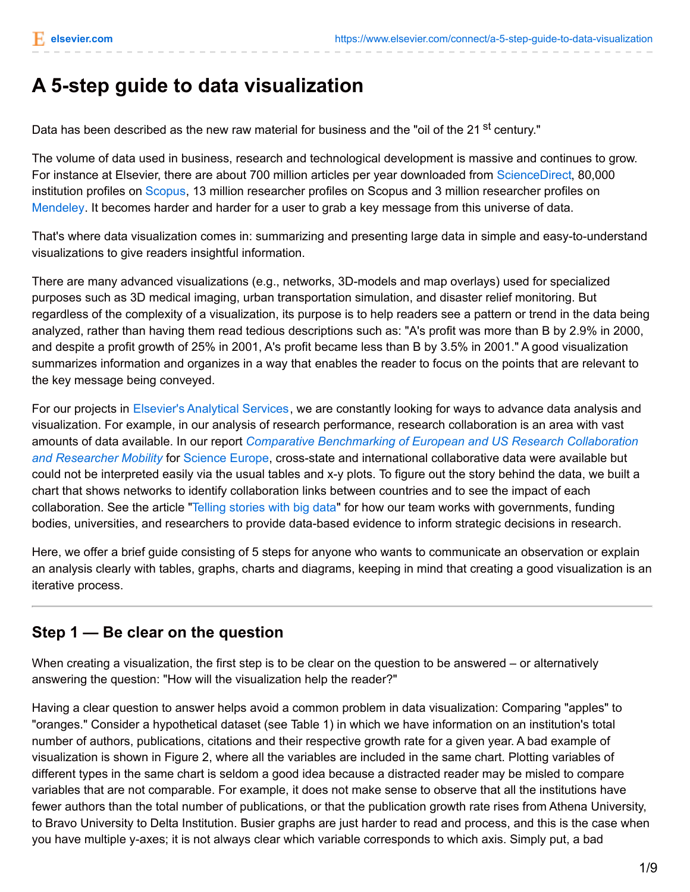# **A 5-step guide to data visualization**

Data has been described as the new raw material for business and the "oil of the 21 <sup>st</sup> century."

The volume of data used in business, research and technological development is massive and continues to grow. For instance at Elsevier, there are about 700 million articles per year downloaded from [ScienceDirect](http://sciencedirect.com/), 80,000 institution profiles on [Scopus](http://scopus.com/), 13 million researcher profiles on Scopus and 3 million researcher profiles on [Mendeley](http://mendeley.com/). It becomes harder and harder for a user to grab a key message from this universe of data.

That's where data visualization comes in: summarizing and presenting large data in simple and easy-to-understand visualizations to give readers insightful information.

There are many advanced visualizations (e.g., networks, 3D-models and map overlays) used for specialized purposes such as 3D medical imaging, urban transportation simulation, and disaster relief monitoring. But regardless of the complexity of a visualization, its purpose is to help readers see a pattern or trend in the data being analyzed, rather than having them read tedious descriptions such as: "A's profit was more than B by 2.9% in 2000, and despite a profit growth of 25% in 2001, A's profit became less than B by 3.5% in 2001." A good visualization summarizes information and organizes in a way that enables the reader to focus on the points that are relevant to the key message being conveyed.

For our projects in Elsevier's [Analytical](http://www.elsevier.com/online-tools/research-intelligence/products-and-services/analytical-services) Services, we are constantly looking for ways to advance data analysis and visualization. For example, in our analysis of research performance, research collaboration is an area with vast amounts of data available. In our report *Comparative [Benchmarking](http://www.elsevier.com/__data/assets/pdf_file/0010/171793/Comparative-Benchmarking-of-European-and-US-Research-Collaboration-and-Researcher-Mobility_sept2013.pdf) of European and US Research Collaboration and Researcher Mobility* for [Science](http://www.scienceeurope.org/) Europe, cross-state and international collaborative data were available but could not be interpreted easily via the usual tables and x-y plots. To figure out the story behind the data, we built a chart that shows networks to identify collaboration links between countries and to see the impact of each collaboration. See the article "Telling [stories](http://www.elsevier.com/connect/telling-stories-with-big-data-elseviers-analytical-services-team) with big data" for how our team works with governments, funding bodies, universities, and researchers to provide data-based evidence to inform strategic decisions in research.

Here, we offer a brief guide consisting of 5 steps for anyone who wants to communicate an observation or explain an analysis clearly with tables, graphs, charts and diagrams, keeping in mind that creating a good visualization is an iterative process.

### **Step 1 — Be clear on the question**

When creating a visualization, the first step is to be clear on the question to be answered – or alternatively answering the question: "How will the visualization help the reader?"

Having a clear question to answer helps avoid a common problem in data visualization: Comparing "apples" to "oranges." Consider a hypothetical dataset (see Table 1) in which we have information on an institution's total number of authors, publications, citations and their respective growth rate for a given year. A bad example of visualization is shown in Figure 2, where all the variables are included in the same chart. Plotting variables of different types in the same chart is seldom a good idea because a distracted reader may be misled to compare variables that are not comparable. For example, it does not make sense to observe that all the institutions have fewer authors than the total number of publications, or that the publication growth rate rises from Athena University, to Bravo University to Delta Institution. Busier graphs are just harder to read and process, and this is the case when you have multiple y-axes; it is not always clear which variable corresponds to which axis. Simply put, a bad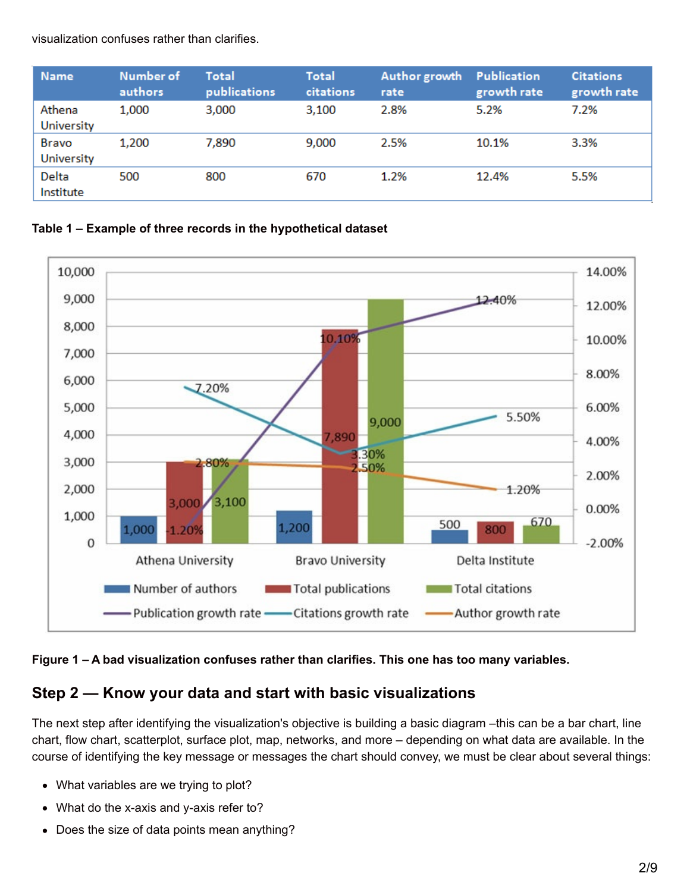visualization confuses rather than clarifies.

| <b>Name</b>          | Number of<br>authors | Total<br>publications | <b>Total</b><br>citations | Author growth<br>rate | <b>Publication</b><br>growth rate | <b>Citations</b><br>growth rate |
|----------------------|----------------------|-----------------------|---------------------------|-----------------------|-----------------------------------|---------------------------------|
| Athena<br>University | 1,000                | 3,000                 | 3,100                     | 2.8%                  | 5.2%                              | 7.2%                            |
| Bravo<br>University  | 1,200                | 7,890                 | 9,000                     | 2.5%                  | 10.1%                             | 3.3%                            |
| Delta<br>Institute   | 500                  | 800                   | 670                       | 1.2%                  | 12.4%                             | 5.5%                            |

#### **Table 1 – Example of three records in the hypothetical dataset**



#### **Figure 1 – A bad visualization confuses rather than clarifies. This one has too many variables.**

# **Step 2 — Know your data and start with basic visualizations**

The next step after identifying the visualization's objective is building a basic diagram –this can be a bar chart, line chart, flow chart, scatterplot, surface plot, map, networks, and more – depending on what data are available. In the course of identifying the key message or messages the chart should convey, we must be clear about several things:

- What variables are we trying to plot?
- What do the x-axis and y-axis refer to?
- Does the size of data points mean anything?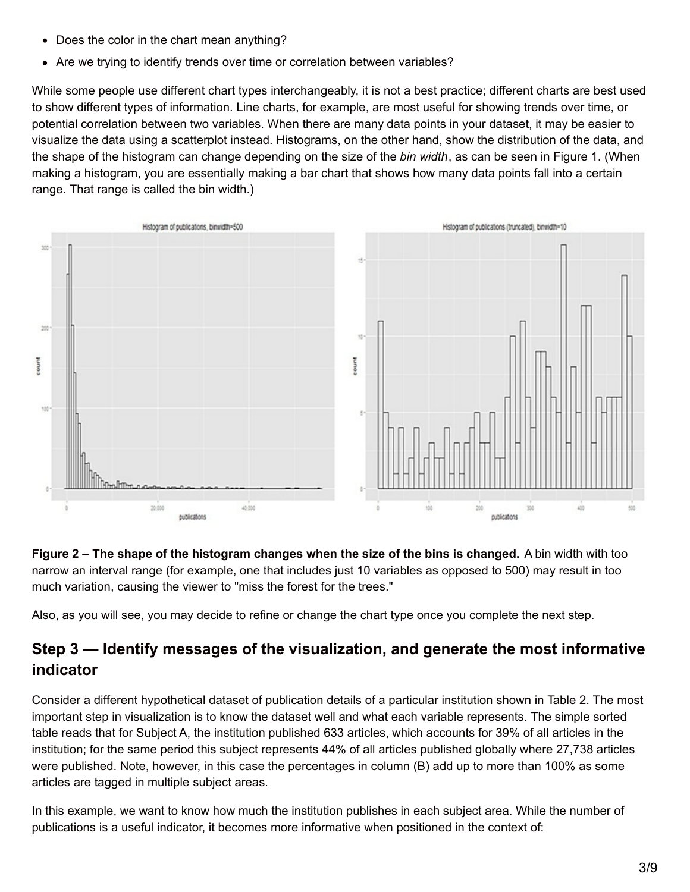- Does the color in the chart mean anything?
- Are we trying to identify trends over time or correlation between variables?

While some people use different chart types interchangeably, it is not a best practice; different charts are best used to show different types of information. Line charts, for example, are most useful for showing trends over time, or potential correlation between two variables. When there are many data points in your dataset, it may be easier to visualize the data using a scatterplot instead. Histograms, on the other hand, show the distribution of the data, and the shape of the histogram can change depending on the size of the *bin width*, as can be seen in Figure 1. (When making a histogram, you are essentially making a bar chart that shows how many data points fall into a certain range. That range is called the bin width.)



**Figure 2 – The shape of the histogram changes when the size of the bins is changed.** A bin width with too narrow an interval range (for example, one that includes just 10 variables as opposed to 500) may result in too much variation, causing the viewer to "miss the forest for the trees."

Also, as you will see, you may decide to refine or change the chart type once you complete the next step.

# **Step 3 — Identify messages of the visualization, and generate the most informative indicator**

Consider a different hypothetical dataset of publication details of a particular institution shown in Table 2. The most important step in visualization is to know the dataset well and what each variable represents. The simple sorted table reads that for Subject A, the institution published 633 articles, which accounts for 39% of all articles in the institution; for the same period this subject represents 44% of all articles published globally where 27,738 articles were published. Note, however, in this case the percentages in column (B) add up to more than 100% as some articles are tagged in multiple subject areas.

In this example, we want to know how much the institution publishes in each subject area. While the number of publications is a useful indicator, it becomes more informative when positioned in the context of: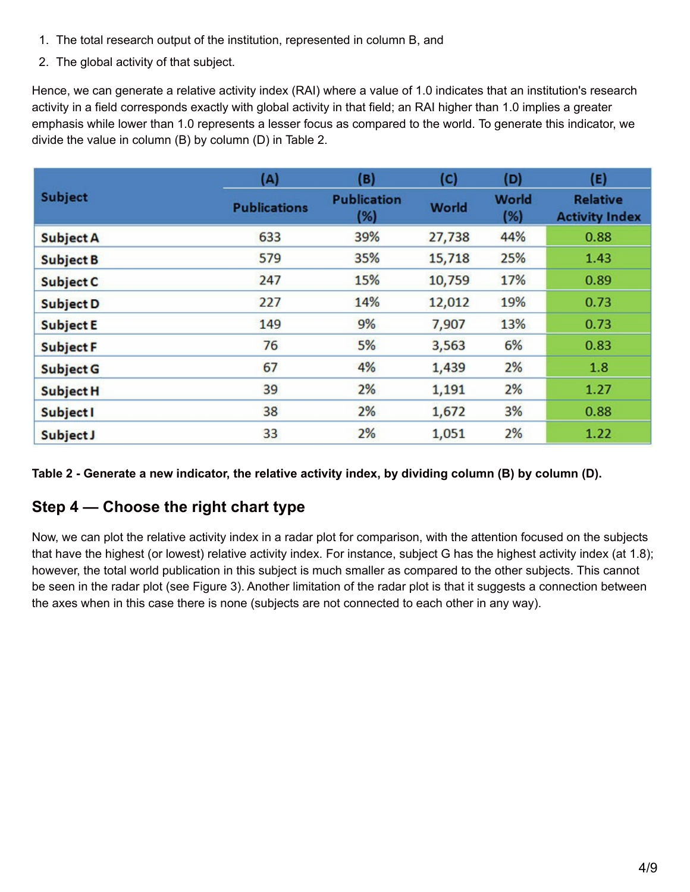- 1. The total research output of the institution, represented in column B, and
- 2. The global activity of that subject.

Hence, we can generate a relative activity index (RAI) where a value of 1.0 indicates that an institution's research activity in a field corresponds exactly with global activity in that field; an RAI higher than 1.0 implies a greater emphasis while lower than 1.0 represents a lesser focus as compared to the world. To generate this indicator, we divide the value in column (B) by column (D) in Table 2.

|                  | (A)                 | (B)                       | (C)          | (D)                 | (E)                                      |
|------------------|---------------------|---------------------------|--------------|---------------------|------------------------------------------|
| <b>Subject</b>   | <b>Publications</b> | <b>Publication</b><br>(%) | <b>World</b> | <b>World</b><br>(%) | <b>Relative</b><br><b>Activity Index</b> |
| <b>Subject A</b> | 633                 | 39%                       | 27,738       | 44%                 | 0.88                                     |
| <b>Subject B</b> | 579                 | 35%                       | 15,718       | 25%                 | 1.43                                     |
| Subject C        | 247                 | 15%                       | 10,759       | 17%                 | 0.89                                     |
| <b>Subject D</b> | 227                 | 14%                       | 12,012       | 19%                 | 0.73                                     |
| <b>Subject E</b> | 149                 | 9%                        | 7,907        | 13%                 | 0.73                                     |
| <b>Subject F</b> | 76                  | 5%                        | 3,563        | 6%                  | 0.83                                     |
| <b>Subject G</b> | 67                  | 4%                        | 1,439        | 2%                  | 1.8                                      |
| <b>Subject H</b> | 39                  | 2%                        | 1,191        | 2%                  | 1.27                                     |
| <b>Subject I</b> | 38                  | 2%                        | 1,672        | 3%                  | 0.88                                     |
| Subject J        | 33                  | 2%                        | 1,051        | 2%                  | 1.22                                     |

Table 2 - Generate a new indicator, the relative activity index, by dividing column (B) by column (D).

# **Step 4 — Choose the right chart type**

Now, we can plot the relative activity index in a radar plot for comparison, with the attention focused on the subjects that have the highest (or lowest) relative activity index. For instance, subject G has the highest activity index (at 1.8); however, the total world publication in this subject is much smaller as compared to the other subjects. This cannot be seen in the radar plot (see Figure 3). Another limitation of the radar plot is that it suggests a connection between the axes when in this case there is none (subjects are not connected to each other in any way).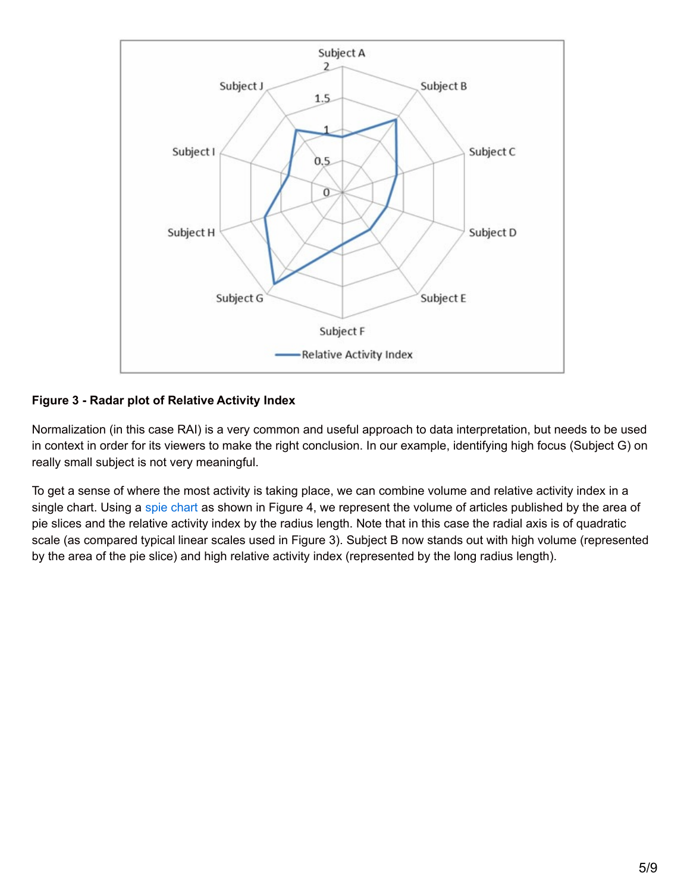

#### **Figure 3 - Radar plot of Relative Activity Index**

Normalization (in this case RAI) is a very common and useful approach to data interpretation, but needs to be used in context in order for its viewers to make the right conclusion. In our example, identifying high focus (Subject G) on really small subject is not very meaningful.

To get a sense of where the most activity is taking place, we can combine volume and relative activity index in a single [chart](http://en.wikipedia.org/wiki/Pie_chart#Spie_chart). Using a spie chart as shown in Figure 4, we represent the volume of articles published by the area of pie slices and the relative activity index by the radius length. Note that in this case the radial axis is of quadratic scale (as compared typical linear scales used in Figure 3). Subject B now stands out with high volume (represented by the area of the pie slice) and high relative activity index (represented by the long radius length).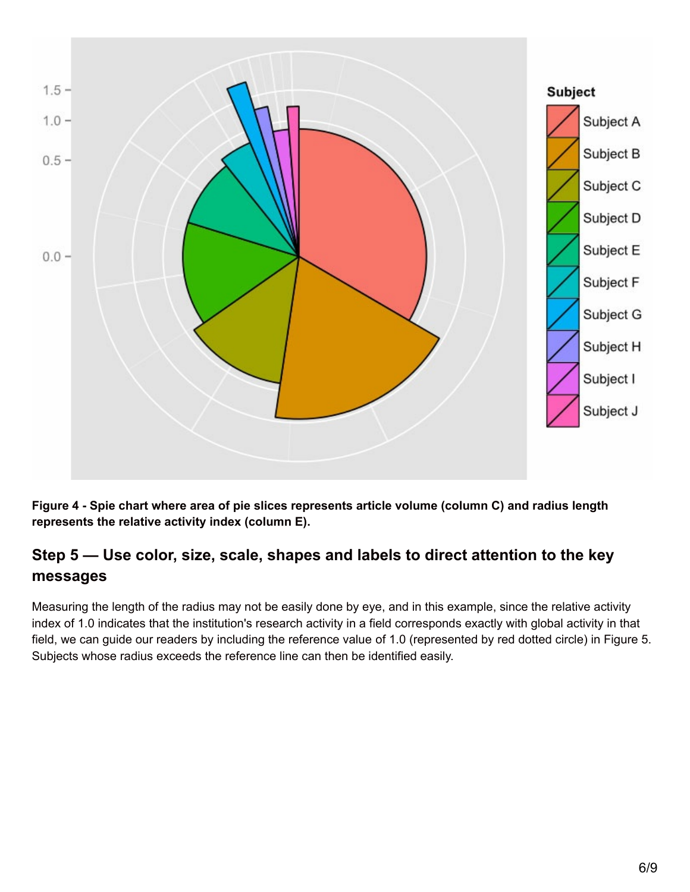

Figure 4 - Spie chart where area of pie slices represents article volume (column C) and radius length **represents the relative activity index (column E).**

# **Step 5 — Use color, size, scale, shapes and labels to direct attention to the key messages**

Measuring the length of the radius may not be easily done by eye, and in this example, since the relative activity index of 1.0 indicates that the institution's research activity in a field corresponds exactly with global activity in that field, we can guide our readers by including the reference value of 1.0 (represented by red dotted circle) in Figure 5. Subjects whose radius exceeds the reference line can then be identified easily.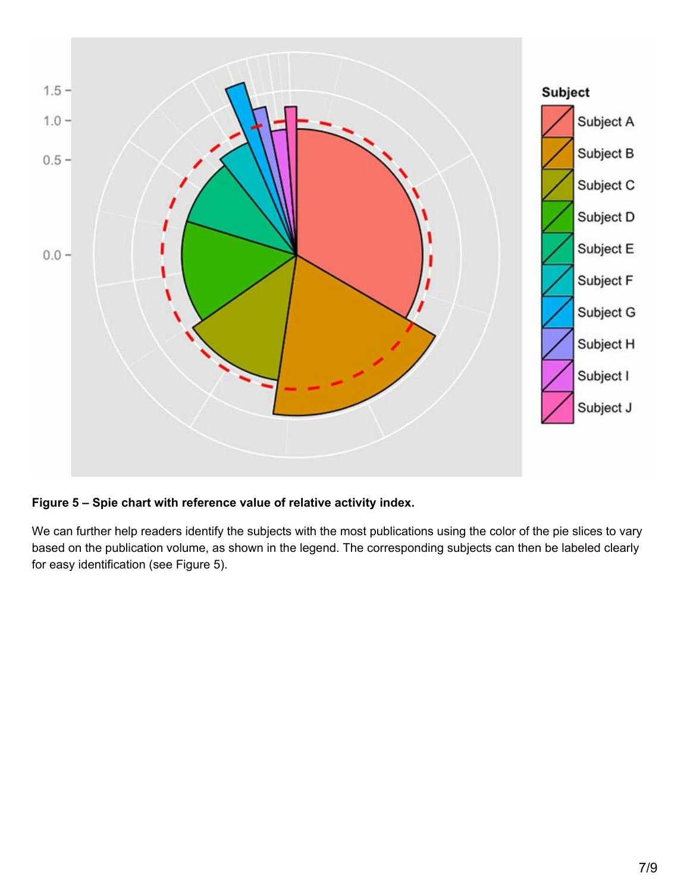

#### **Figure 5 – Spie chart with reference value of relative activity index.**

We can further help readers identify the subjects with the most publications using the color of the pie slices to vary based on the publication volume, as shown in the legend. The corresponding subjects can then be labeled clearly for easy identification (see Figure 5).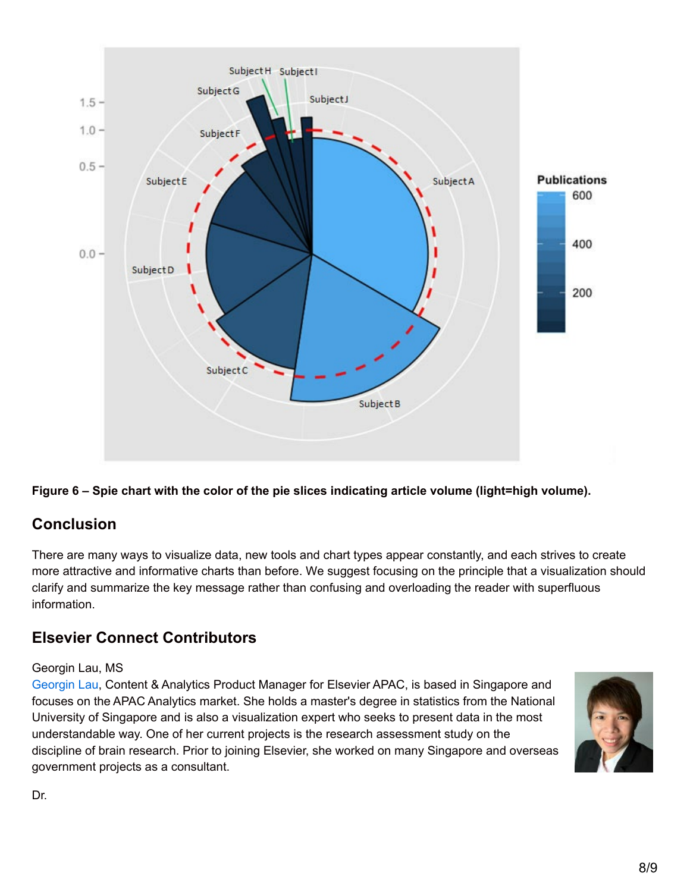



# **Conclusion**

There are many ways to visualize data, new tools and chart types appear constantly, and each strives to create more attractive and informative charts than before. We suggest focusing on the principle that a visualization should clarify and summarize the key message rather than confusing and overloading the reader with superfluous information.

# **Elsevier Connect Contributors**

#### Georgin Lau, MS

[Georgin](http://sg.linkedin.com/in/georginlau) Lau, Content & Analytics Product Manager for Elsevier APAC, is based in Singapore and focuses on the APAC Analytics market. She holds a master's degree in statistics from the National University of Singapore and is also a visualization expert who seeks to present data in the most understandable way. One of her current projects is the research assessment study on the discipline of brain research. Prior to joining Elsevier, she worked on many Singapore and overseas government projects as a consultant.



Dr.